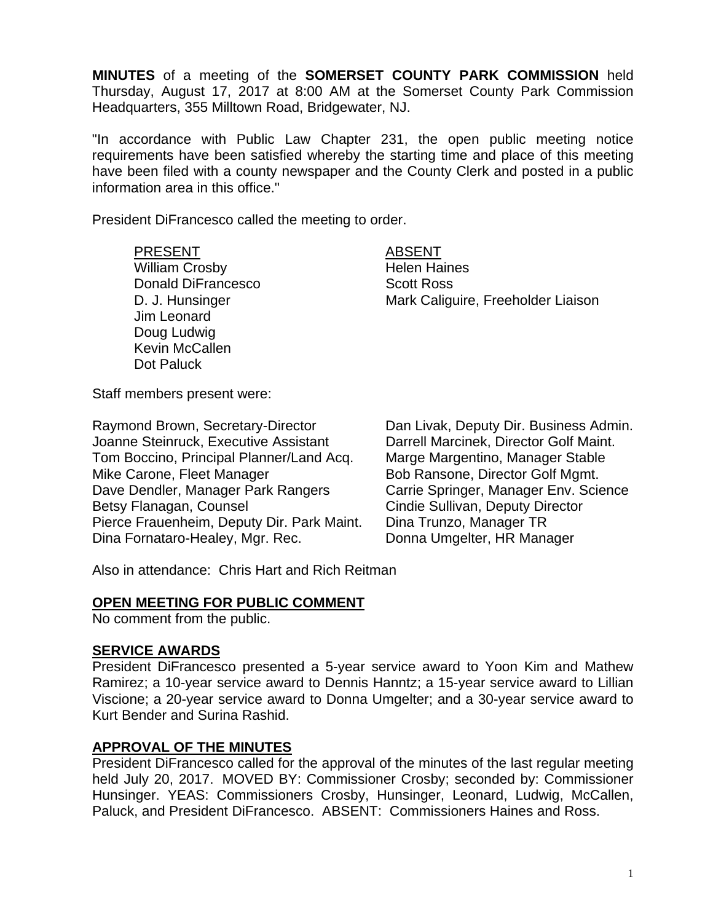**MINUTES** of a meeting of the **SOMERSET COUNTY PARK COMMISSION** held Thursday, August 17, 2017 at 8:00 AM at the Somerset County Park Commission Headquarters, 355 Milltown Road, Bridgewater, NJ.

"In accordance with Public Law Chapter 231, the open public meeting notice requirements have been satisfied whereby the starting time and place of this meeting have been filed with a county newspaper and the County Clerk and posted in a public information area in this office."

President DiFrancesco called the meeting to order.

PRESENT ABSENT William Crosby **Helen Haines** Donald DiFrancesco Scott Ross Jim Leonard Doug Ludwig Kevin McCallen Dot Paluck

D. J. Hunsinger **Mark Caliguire, Freeholder Liaison** 

Staff members present were:

Raymond Brown, Secretary-Director Dan Livak, Deputy Dir. Business Admin. Joanne Steinruck, Executive Assistant Darrell Marcinek, Director Golf Maint. Tom Boccino, Principal Planner/Land Acq. Marge Margentino, Manager Stable Mike Carone, Fleet Manager Bob Ransone, Director Golf Mgmt. Dave Dendler, Manager Park Rangers Carrie Springer, Manager Env. Science Betsy Flanagan, Counsel **Counsel Cindie Sullivan, Deputy Director** Pierce Frauenheim, Deputy Dir. Park Maint. Dina Trunzo, Manager TR Dina Fornataro-Healey, Mgr. Rec. Donna Umgelter, HR Manager

Also in attendance: Chris Hart and Rich Reitman

#### **OPEN MEETING FOR PUBLIC COMMENT**

No comment from the public.

#### **SERVICE AWARDS**

President DiFrancesco presented a 5-year service award to Yoon Kim and Mathew Ramirez; a 10-year service award to Dennis Hanntz; a 15-year service award to Lillian Viscione; a 20-year service award to Donna Umgelter; and a 30-year service award to Kurt Bender and Surina Rashid.

#### **APPROVAL OF THE MINUTES**

President DiFrancesco called for the approval of the minutes of the last regular meeting held July 20, 2017. MOVED BY: Commissioner Crosby; seconded by: Commissioner Hunsinger. YEAS: Commissioners Crosby, Hunsinger, Leonard, Ludwig, McCallen, Paluck, and President DiFrancesco. ABSENT: Commissioners Haines and Ross.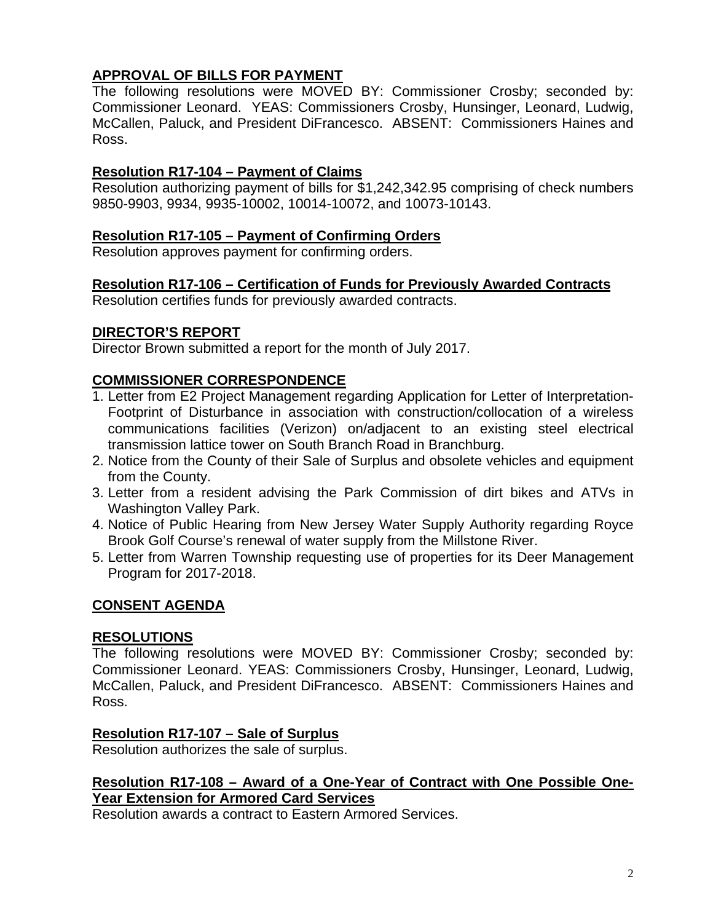# **APPROVAL OF BILLS FOR PAYMENT**

The following resolutions were MOVED BY: Commissioner Crosby; seconded by: Commissioner Leonard. YEAS: Commissioners Crosby, Hunsinger, Leonard, Ludwig, McCallen, Paluck, and President DiFrancesco. ABSENT: Commissioners Haines and Ross.

# **Resolution R17-104 – Payment of Claims**

Resolution authorizing payment of bills for \$1,242,342.95 comprising of check numbers 9850-9903, 9934, 9935-10002, 10014-10072, and 10073-10143.

### **Resolution R17-105 – Payment of Confirming Orders**

Resolution approves payment for confirming orders.

### **Resolution R17-106 – Certification of Funds for Previously Awarded Contracts**

Resolution certifies funds for previously awarded contracts.

### **DIRECTOR'S REPORT**

Director Brown submitted a report for the month of July 2017.

### **COMMISSIONER CORRESPONDENCE**

- 1. Letter from E2 Project Management regarding Application for Letter of Interpretation-Footprint of Disturbance in association with construction/collocation of a wireless communications facilities (Verizon) on/adjacent to an existing steel electrical transmission lattice tower on South Branch Road in Branchburg.
- 2. Notice from the County of their Sale of Surplus and obsolete vehicles and equipment from the County.
- 3. Letter from a resident advising the Park Commission of dirt bikes and ATVs in Washington Valley Park.
- 4. Notice of Public Hearing from New Jersey Water Supply Authority regarding Royce Brook Golf Course's renewal of water supply from the Millstone River.
- 5. Letter from Warren Township requesting use of properties for its Deer Management Program for 2017-2018.

# **CONSENT AGENDA**

#### **RESOLUTIONS**

The following resolutions were MOVED BY: Commissioner Crosby; seconded by: Commissioner Leonard. YEAS: Commissioners Crosby, Hunsinger, Leonard, Ludwig, McCallen, Paluck, and President DiFrancesco. ABSENT: Commissioners Haines and Ross.

#### **Resolution R17-107 – Sale of Surplus**

Resolution authorizes the sale of surplus.

#### **Resolution R17-108 – Award of a One-Year of Contract with One Possible One-Year Extension for Armored Card Services**

Resolution awards a contract to Eastern Armored Services.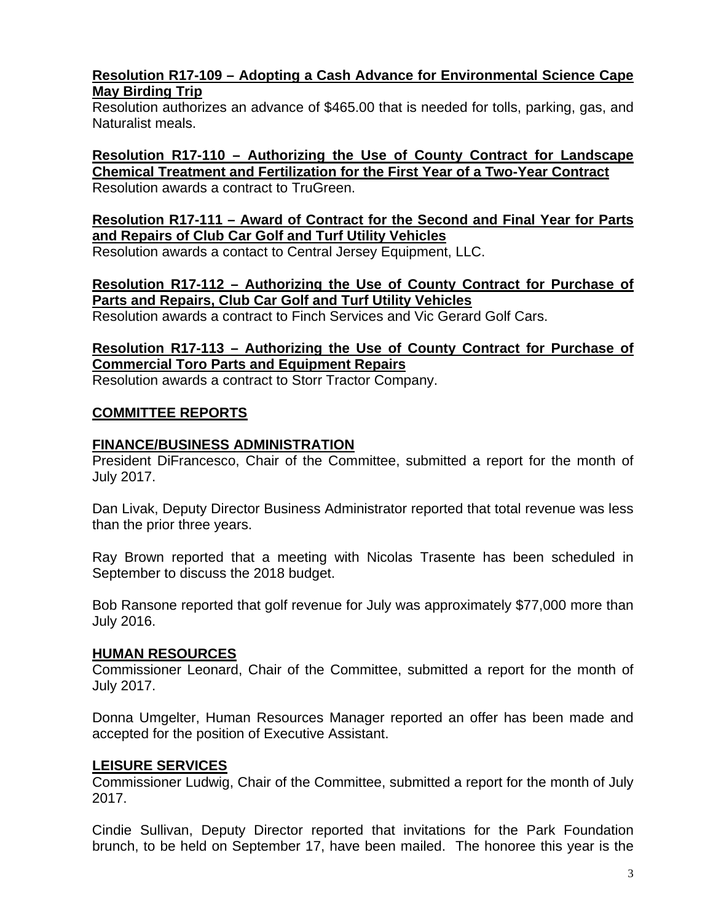### **Resolution R17-109 – Adopting a Cash Advance for Environmental Science Cape May Birding Trip**

Resolution authorizes an advance of \$465.00 that is needed for tolls, parking, gas, and Naturalist meals.

**Resolution R17-110 – Authorizing the Use of County Contract for Landscape Chemical Treatment and Fertilization for the First Year of a Two-Year Contract**  Resolution awards a contract to TruGreen.

#### **Resolution R17-111 – Award of Contract for the Second and Final Year for Parts and Repairs of Club Car Golf and Turf Utility Vehicles**

Resolution awards a contact to Central Jersey Equipment, LLC.

### **Resolution R17-112 – Authorizing the Use of County Contract for Purchase of Parts and Repairs, Club Car Golf and Turf Utility Vehicles**

Resolution awards a contract to Finch Services and Vic Gerard Golf Cars.

# **Resolution R17-113 – Authorizing the Use of County Contract for Purchase of Commercial Toro Parts and Equipment Repairs**

Resolution awards a contract to Storr Tractor Company.

### **COMMITTEE REPORTS**

#### **FINANCE/BUSINESS ADMINISTRATION**

President DiFrancesco, Chair of the Committee, submitted a report for the month of July 2017.

Dan Livak, Deputy Director Business Administrator reported that total revenue was less than the prior three years.

Ray Brown reported that a meeting with Nicolas Trasente has been scheduled in September to discuss the 2018 budget.

Bob Ransone reported that golf revenue for July was approximately \$77,000 more than July 2016.

#### **HUMAN RESOURCES**

Commissioner Leonard, Chair of the Committee, submitted a report for the month of July 2017.

Donna Umgelter, Human Resources Manager reported an offer has been made and accepted for the position of Executive Assistant.

#### **LEISURE SERVICES**

Commissioner Ludwig, Chair of the Committee, submitted a report for the month of July 2017.

Cindie Sullivan, Deputy Director reported that invitations for the Park Foundation brunch, to be held on September 17, have been mailed. The honoree this year is the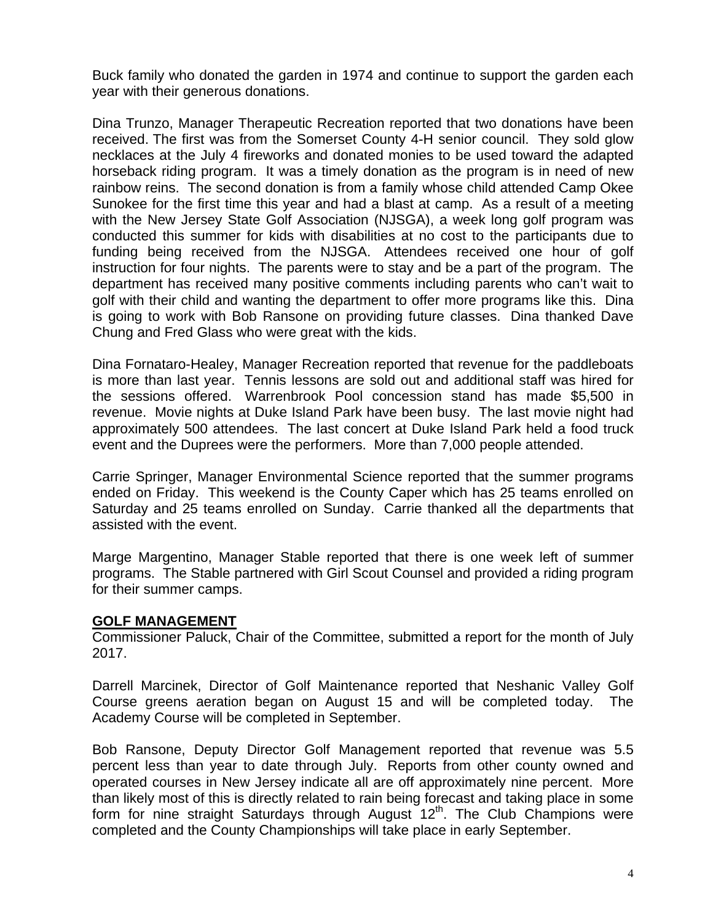Buck family who donated the garden in 1974 and continue to support the garden each year with their generous donations.

Dina Trunzo, Manager Therapeutic Recreation reported that two donations have been received. The first was from the Somerset County 4-H senior council. They sold glow necklaces at the July 4 fireworks and donated monies to be used toward the adapted horseback riding program. It was a timely donation as the program is in need of new rainbow reins. The second donation is from a family whose child attended Camp Okee Sunokee for the first time this year and had a blast at camp. As a result of a meeting with the New Jersey State Golf Association (NJSGA), a week long golf program was conducted this summer for kids with disabilities at no cost to the participants due to funding being received from the NJSGA. Attendees received one hour of golf instruction for four nights. The parents were to stay and be a part of the program. The department has received many positive comments including parents who can't wait to golf with their child and wanting the department to offer more programs like this. Dina is going to work with Bob Ransone on providing future classes. Dina thanked Dave Chung and Fred Glass who were great with the kids.

Dina Fornataro-Healey, Manager Recreation reported that revenue for the paddleboats is more than last year. Tennis lessons are sold out and additional staff was hired for the sessions offered. Warrenbrook Pool concession stand has made \$5,500 in revenue. Movie nights at Duke Island Park have been busy. The last movie night had approximately 500 attendees. The last concert at Duke Island Park held a food truck event and the Duprees were the performers. More than 7,000 people attended.

Carrie Springer, Manager Environmental Science reported that the summer programs ended on Friday. This weekend is the County Caper which has 25 teams enrolled on Saturday and 25 teams enrolled on Sunday. Carrie thanked all the departments that assisted with the event.

Marge Margentino, Manager Stable reported that there is one week left of summer programs. The Stable partnered with Girl Scout Counsel and provided a riding program for their summer camps.

#### **GOLF MANAGEMENT**

Commissioner Paluck, Chair of the Committee, submitted a report for the month of July 2017.

Darrell Marcinek, Director of Golf Maintenance reported that Neshanic Valley Golf Course greens aeration began on August 15 and will be completed today. The Academy Course will be completed in September.

Bob Ransone, Deputy Director Golf Management reported that revenue was 5.5 percent less than year to date through July. Reports from other county owned and operated courses in New Jersey indicate all are off approximately nine percent. More than likely most of this is directly related to rain being forecast and taking place in some form for nine straight Saturdays through August  $12<sup>th</sup>$ . The Club Champions were completed and the County Championships will take place in early September.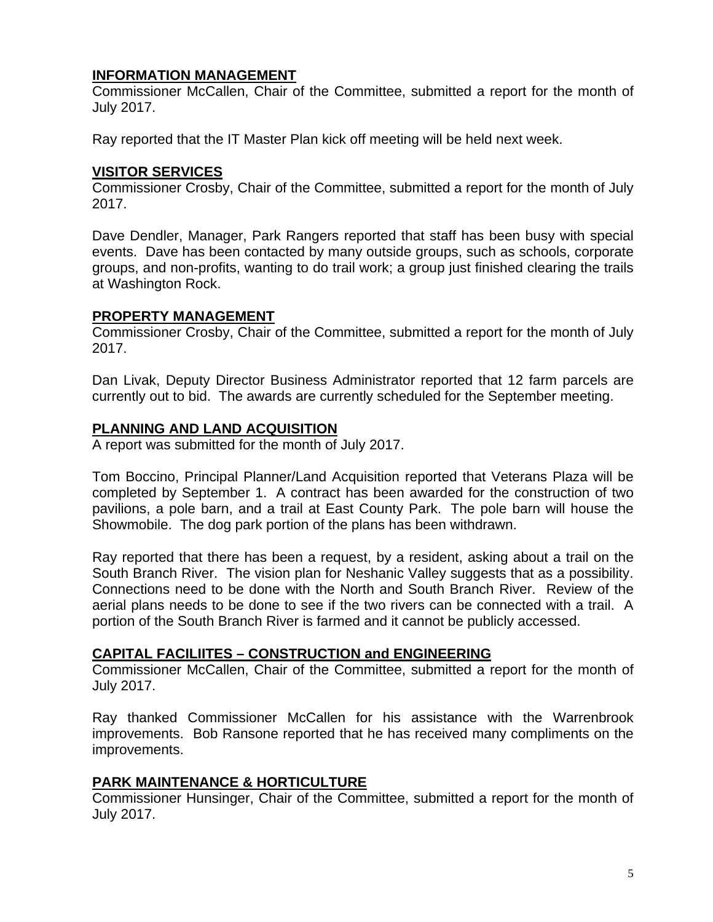#### **INFORMATION MANAGEMENT**

Commissioner McCallen, Chair of the Committee, submitted a report for the month of July 2017.

Ray reported that the IT Master Plan kick off meeting will be held next week.

## **VISITOR SERVICES**

Commissioner Crosby, Chair of the Committee, submitted a report for the month of July 2017.

Dave Dendler, Manager, Park Rangers reported that staff has been busy with special events. Dave has been contacted by many outside groups, such as schools, corporate groups, and non-profits, wanting to do trail work; a group just finished clearing the trails at Washington Rock.

#### **PROPERTY MANAGEMENT**

Commissioner Crosby, Chair of the Committee, submitted a report for the month of July 2017.

Dan Livak, Deputy Director Business Administrator reported that 12 farm parcels are currently out to bid. The awards are currently scheduled for the September meeting.

### **PLANNING AND LAND ACQUISITION**

A report was submitted for the month of July 2017.

Tom Boccino, Principal Planner/Land Acquisition reported that Veterans Plaza will be completed by September 1. A contract has been awarded for the construction of two pavilions, a pole barn, and a trail at East County Park. The pole barn will house the Showmobile. The dog park portion of the plans has been withdrawn.

Ray reported that there has been a request, by a resident, asking about a trail on the South Branch River. The vision plan for Neshanic Valley suggests that as a possibility. Connections need to be done with the North and South Branch River. Review of the aerial plans needs to be done to see if the two rivers can be connected with a trail. A portion of the South Branch River is farmed and it cannot be publicly accessed.

#### **CAPITAL FACILIITES – CONSTRUCTION and ENGINEERING**

Commissioner McCallen, Chair of the Committee, submitted a report for the month of July 2017.

Ray thanked Commissioner McCallen for his assistance with the Warrenbrook improvements. Bob Ransone reported that he has received many compliments on the improvements.

# **PARK MAINTENANCE & HORTICULTURE**

Commissioner Hunsinger, Chair of the Committee, submitted a report for the month of July 2017.